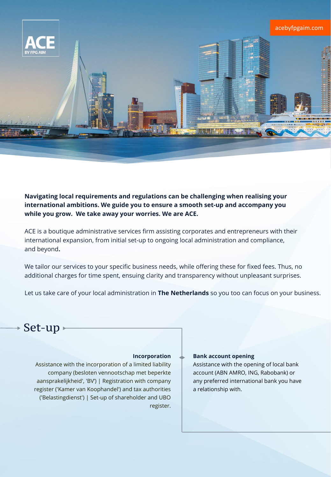

**Navigating local requirements and regulations can be challenging when realising your international ambitions. We guide you to ensure a smooth set-up and accompany you while you grow. We take away your worries. We are ACE.**

ACE is a boutique administrative services firm assisting corporates and entrepreneurs with their international expansion, from initial set-up to ongoing local administration and compliance, and beyond**.**

We tailor our services to your specific business needs, while offering these for fixed fees. Thus, no additional charges for time spent, ensuing clarity and transparency without unpleasant surprises.

Let us take care of your local administration in **The Netherlands** so you too can focus on your business.

## Set-up

### **Incorporation**

Assistance with the incorporation of a limited liability company (besloten vennootschap met beperkte aansprakelijkheid', 'BV') | Registration with company register ('Kamer van Koophandel') and tax authorities ('Belastingdienst') | Set-up of shareholder and UBO register.

### **Bank account opening**

Assistance with the opening of local bank account (ABN AMRO, ING, Rabobank) or any preferred international bank you have a relationship with.